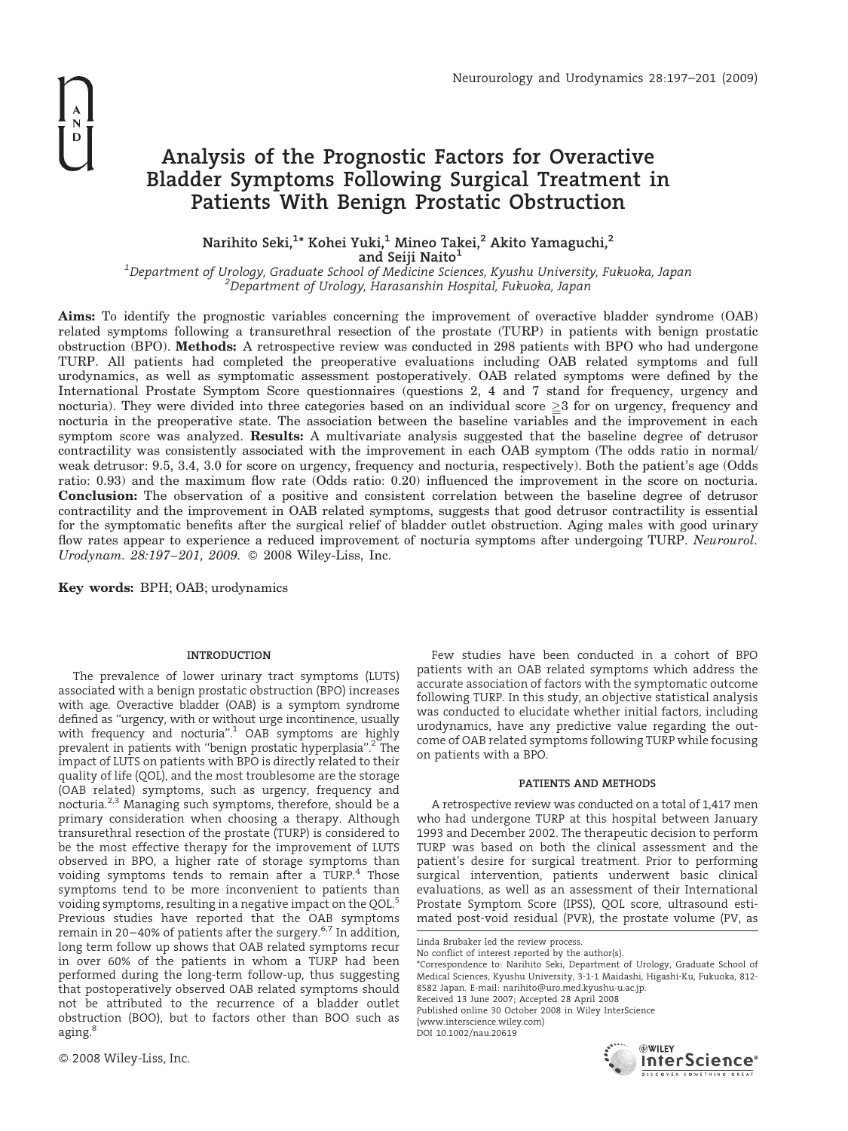# Analysis of the Prognostic Factors for Overactive Bladder Symptoms Following Surgical Treatment in Patients With Benign Prostatic Obstruction

## Narihito Seki, $^{1\ast}$  Kohei Yuki, $^{1}$  Mineo Takei, $^{2}$  Akito Yamaguchi, $^{2}$

and Seiji Naito<sup>1</sup>

<sup>1</sup>Department of Urology, Graduate School of Medicine Sciences, Kyushu University, Fukuoka, Japan <sup>2</sup>Denartment of Urology, Harasanshin Hospital, Fukuoka, Japan Department of Urology, Harasanshin Hospital, Fukuoka, Japan

Aims: To identify the prognostic variables concerning the improvement of overactive bladder syndrome (OAB) related symptoms following a transurethral resection of the prostate (TURP) in patients with benign prostatic obstruction (BPO). Methods: A retrospective review was conducted in 298 patients with BPO who had undergone TURP. All patients had completed the preoperative evaluations including OAB related symptoms and full urodynamics, as well as symptomatic assessment postoperatively. OAB related symptoms were defined by the International Prostate Symptom Score questionnaires (questions 2, 4 and 7 stand for frequency, urgency and nocturia). They were divided into three categories based on an individual score  $\geq 3$  for on urgency, frequency and nocturia in the preoperative state. The association between the baseline variables and the improvement in each symptom score was analyzed. **Results:** A multivariate analysis suggested that the baseline degree of detrusor contractility was consistently associated with the improvement in each OAB symptom (The odds ratio in normal/ weak detrusor: 9.5, 3.4, 3.0 for score on urgency, frequency and nocturia, respectively). Both the patient's age (Odds ratio: 0.93) and the maximum flow rate (Odds ratio: 0.20) influenced the improvement in the score on nocturia. Conclusion: The observation of a positive and consistent correlation between the baseline degree of detrusor contractility and the improvement in OAB related symptoms, suggests that good detrusor contractility is essential for the symptomatic benefits after the surgical relief of bladder outlet obstruction. Aging males with good urinary flow rates appear to experience a reduced improvement of nocturia symptoms after undergoing TURP. Neurourol. Urodynam. 28:197–201, 2009. 2008 Wiley-Liss, Inc.

Key words: BPH; OAB; urodynamics

## INTRODUCTION

The prevalence of lower urinary tract symptoms (LUTS) associated with a benign prostatic obstruction (BPO) increases with age. Overactive bladder (OAB) is a symptom syndrome defined as ''urgency, with or without urge incontinence, usually with frequency and nocturia".<sup>1</sup> OAB symptoms are highly prevalent in patients with "benign prostatic hyperplasia".<sup>2</sup> The impact of LUTS on patients with BPO is directly related to their quality of life (QOL), and the most troublesome are the storage (OAB related) symptoms, such as urgency, frequency and nocturia.2,3 Managing such symptoms, therefore, should be a primary consideration when choosing a therapy. Although transurethral resection of the prostate (TURP) is considered to be the most effective therapy for the improvement of LUTS observed in BPO, a higher rate of storage symptoms than voiding symptoms tends to remain after a TURP.<sup>4</sup> Those symptoms tend to be more inconvenient to patients than voiding symptoms, resulting in a negative impact on the QOL.<sup>5</sup> Previous studies have reported that the OAB symptoms remain in 20–40% of patients after the surgery. $6,7$  In addition, long term follow up shows that OAB related symptoms recur in over 60% of the patients in whom a TURP had been performed during the long-term follow-up, thus suggesting that postoperatively observed OAB related symptoms should not be attributed to the recurrence of a bladder outlet obstruction (BOO), but to factors other than BOO such as aging.<sup>8</sup>

Few studies have been conducted in a cohort of BPO patients with an OAB related symptoms which address the accurate association of factors with the symptomatic outcome following TURP. In this study, an objective statistical analysis was conducted to elucidate whether initial factors, including urodynamics, have any predictive value regarding the outcome of OAB related symptoms following TURP while focusing on patients with a BPO.

## PATIENTS AND METHODS

A retrospective review was conducted on a total of 1,417 men who had undergone TURP at this hospital between January 1993 and December 2002. The therapeutic decision to perform TURP was based on both the clinical assessment and the patient's desire for surgical treatment. Prior to performing surgical intervention, patients underwent basic clinical evaluations, as well as an assessment of their International Prostate Symptom Score (IPSS), QOL score, ultrasound estimated post-void residual (PVR), the prostate volume (PV, as

Linda Brubaker led the review process. No conflict of interest reported by the author(s).

\*Correspondence to: Narihito Seki, Department of Urology, Graduate School of Medical Sciences, Kyushu University, 3-1-1 Maidashi, Higashi-Ku, Fukuoka, 812- 8582 Japan. E-mail: narihito@uro.med.kyushu-u.ac.jp. Received 13 June 2007; Accepted 28 April 2008 Published online 30 October 2008 in Wiley InterScience (www.interscience.wiley.com) DOI 10.1002/nau.20619

**WILEY** 

InterScience®

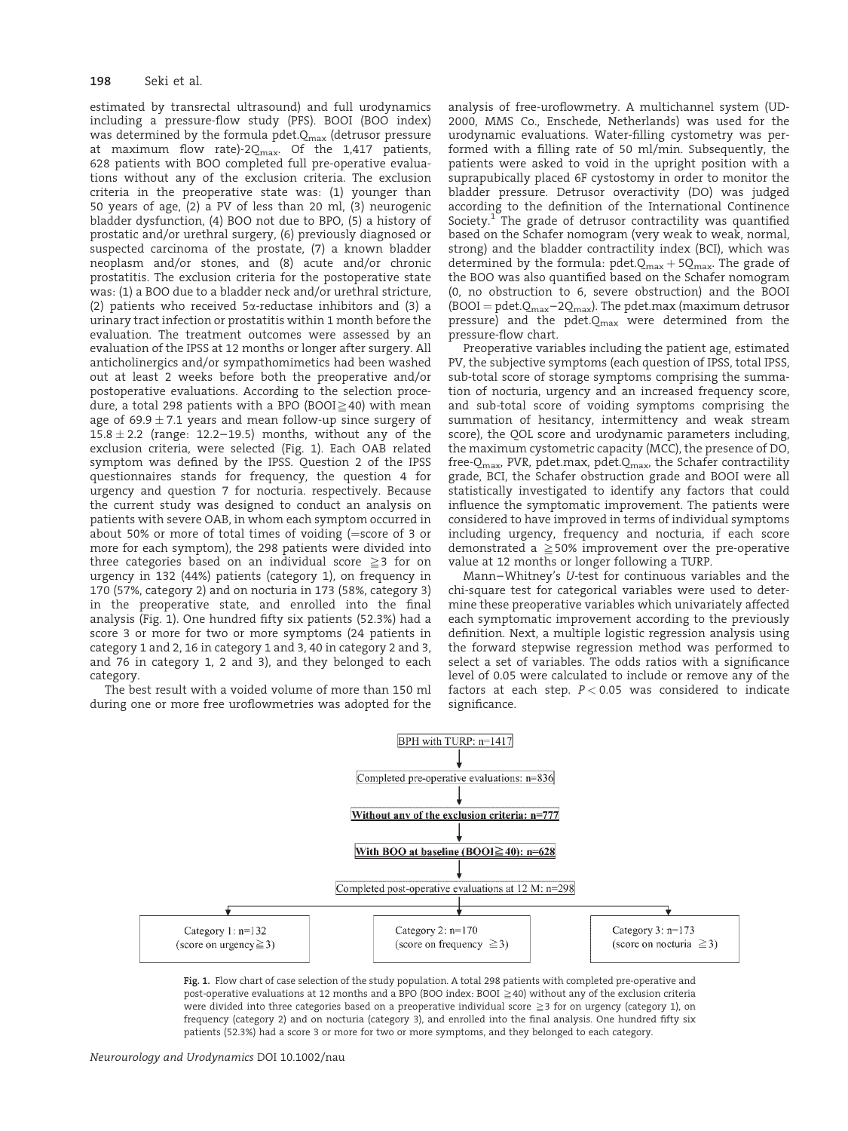## 198 Seki et al.

estimated by transrectal ultrasound) and full urodynamics including a pressure-flow study (PFS). BOOI (BOO index) was determined by the formula pdet. $Q_{\text{max}}$  (detrusor pressure at maximum flow rate)-2 $Q_{\text{max}}$ . Of the 1,417 patients, 628 patients with BOO completed full pre-operative evaluations without any of the exclusion criteria. The exclusion criteria in the preoperative state was: (1) younger than 50 years of age, (2) a PV of less than 20 ml, (3) neurogenic bladder dysfunction, (4) BOO not due to BPO, (5) a history of prostatic and/or urethral surgery, (6) previously diagnosed or suspected carcinoma of the prostate, (7) a known bladder neoplasm and/or stones, and (8) acute and/or chronic prostatitis. The exclusion criteria for the postoperative state was: (1) a BOO due to a bladder neck and/or urethral stricture, (2) patients who received  $5\alpha$ -reductase inhibitors and (3) a urinary tract infection or prostatitis within 1 month before the evaluation. The treatment outcomes were assessed by an evaluation of the IPSS at 12 months or longer after surgery. All anticholinergics and/or sympathomimetics had been washed out at least 2 weeks before both the preoperative and/or postoperative evaluations. According to the selection procedure, a total 298 patients with a BPO (BOOI $\geq$ 40) with mean age of 69.9  $\pm$  7.1 years and mean follow-up since surgery of 15.8  $\pm$  2.2 (range: 12.2–19.5) months, without any of the exclusion criteria, were selected (Fig. 1). Each OAB related symptom was defined by the IPSS. Question 2 of the IPSS questionnaires stands for frequency, the question 4 for urgency and question 7 for nocturia. respectively. Because the current study was designed to conduct an analysis on patients with severe OAB, in whom each symptom occurred in about 50% or more of total times of voiding (=score of 3 or more for each symptom), the 298 patients were divided into three categories based on an individual score  $\geq 3$  for on urgency in 132 (44%) patients (category 1), on frequency in 170 (57%, category 2) and on nocturia in 173 (58%, category 3) in the preoperative state, and enrolled into the final analysis (Fig. 1). One hundred fifty six patients (52.3%) had a score 3 or more for two or more symptoms (24 patients in category 1 and 2, 16 in category 1 and 3, 40 in category 2 and 3, and 76 in category 1, 2 and 3), and they belonged to each category.

The best result with a voided volume of more than 150 ml during one or more free uroflowmetries was adopted for the analysis of free-uroflowmetry. A multichannel system (UD-2000, MMS Co., Enschede, Netherlands) was used for the urodynamic evaluations. Water-filling cystometry was performed with a filling rate of 50 ml/min. Subsequently, the patients were asked to void in the upright position with a suprapubically placed 6F cystostomy in order to monitor the bladder pressure. Detrusor overactivity (DO) was judged according to the definition of the International Continence Society.<sup>1</sup> The grade of detrusor contractility was quantified based on the Schafer nomogram (very weak to weak, normal, strong) and the bladder contractility index (BCI), which was determined by the formula: pdet. $Q_{max}$  + 5 $Q_{max}$ . The grade of the BOO was also quantified based on the Schafer nomogram (0, no obstruction to 6, severe obstruction) and the BOOI (BOOI = pdet. $Q_{max}$ –2 $Q_{max}$ ). The pdet.max (maximum detrusor pressure) and the pdet. $Q_{\text{max}}$  were determined from the pressure-flow chart.

Preoperative variables including the patient age, estimated PV, the subjective symptoms (each question of IPSS, total IPSS, sub-total score of storage symptoms comprising the summation of nocturia, urgency and an increased frequency score, and sub-total score of voiding symptoms comprising the summation of hesitancy, intermittency and weak stream score), the QOL score and urodynamic parameters including, the maximum cystometric capacity (MCC), the presence of DO, free- $Q_{\text{max}}$ , PVR, pdet.max, pdet. $Q_{\text{max}}$ , the Schafer contractility grade, BCI, the Schafer obstruction grade and BOOI were all statistically investigated to identify any factors that could influence the symptomatic improvement. The patients were considered to have improved in terms of individual symptoms including urgency, frequency and nocturia, if each score demonstrated a  $\geq$  50% improvement over the pre-operative value at 12 months or longer following a TURP.

Mann–Whitney's U-test for continuous variables and the chi-square test for categorical variables were used to determine these preoperative variables which univariately affected each symptomatic improvement according to the previously definition. Next, a multiple logistic regression analysis using the forward stepwise regression method was performed to select a set of variables. The odds ratios with a significance level of 0.05 were calculated to include or remove any of the factors at each step.  $P < 0.05$  was considered to indicate significance.



Fig. 1. Flow chart of case selection of the study population. A total 298 patients with completed pre-operative and post-operative evaluations at 12 months and a BPO (BOO index: BOOI  $\geq$  40) without any of the exclusion criteria were divided into three categories based on a preoperative individual score  $\geq 3$  for on urgency (category 1), on frequency (category 2) and on nocturia (category 3), and enrolled into the final analysis. One hundred fifty six patients (52.3%) had a score 3 or more for two or more symptoms, and they belonged to each category.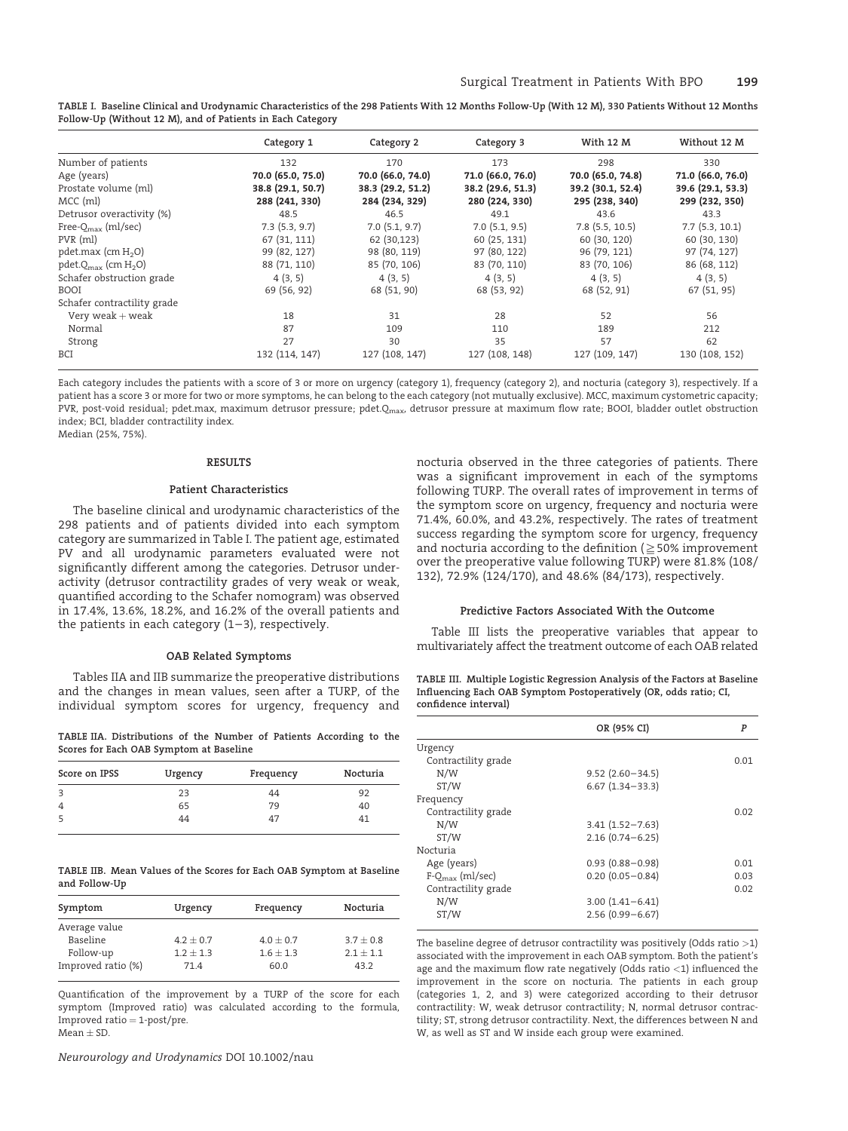| TABLE I.  Baseline Clinical and Urodynamic Characteristics of the 298 Patients With 12 Months Follow-Up (With 12 M), 330 Patients Without 12 Months |  |
|-----------------------------------------------------------------------------------------------------------------------------------------------------|--|
| Follow-Up (Without 12 M), and of Patients in Each Category                                                                                          |  |

|                                     | Category 1        | Category 2         | Category 3        | With 12 M         | Without 12 M      |
|-------------------------------------|-------------------|--------------------|-------------------|-------------------|-------------------|
| Number of patients                  | 132               | 170                | 173               | 298               | 330               |
| Age (years)                         | 70.0 (65.0, 75.0) | 70.0 (66.0, 74.0)  | 71.0 (66.0, 76.0) | 70.0 (65.0, 74.8) | 71.0 (66.0, 76.0) |
| Prostate volume (ml)                | 38.8 (29.1, 50.7) | 38.3 (29.2, 51.2)  | 38.2 (29.6, 51.3) | 39.2 (30.1, 52.4) | 39.6 (29.1, 53.3) |
| $MCC$ (ml)                          | 288 (241, 330)    | 284 (234, 329)     | 280 (224, 330)    | 295 (238, 340)    | 299 (232, 350)    |
| Detrusor overactivity (%)           | 48.5              | 46.5               | 49.1              | 43.6              | 43.3              |
| Free- $Q_{\text{max}}$ (ml/sec)     | 7.3(5.3, 9.7)     | $7.0$ $(5.1, 9.7)$ | 7.0(5.1, 9.5)     | $7.8$ (5.5, 10.5) | 7.7(5.3, 10.1)    |
| PVR (ml)                            | 67 (31, 111)      | 62 (30,123)        | 60 (25, 131)      | 60 (30, 120)      | 60 (30, 130)      |
| pdet.max (cm $H_2O$ )               | 99 (82, 127)      | 98 (80, 119)       | 97 (80, 122)      | 96 (79, 121)      | 97 (74, 127)      |
| pdet. $Q_{\text{max}}$ (cm $H_2O$ ) | 88 (71, 110)      | 85 (70, 106)       | 83 (70, 110)      | 83 (70, 106)      | 86 (68, 112)      |
| Schafer obstruction grade           | 4(3, 5)           | 4(3, 5)            | 4(3, 5)           | 4(3, 5)           | 4(3, 5)           |
| <b>BOOI</b>                         | 69 (56, 92)       | 68 (51, 90)        | 68 (53, 92)       | 68 (52, 91)       | 67 (51, 95)       |
| Schafer contractility grade         |                   |                    |                   |                   |                   |
| Very weak $+$ weak                  | 18                | 31                 | 28                | 52                | 56                |
| Normal                              | 87                | 109                | 110               | 189               | 212               |
| Strong                              | 27                | 30                 | 35                | 57                | 62                |
| BCI                                 | 132 (114, 147)    | 127 (108, 147)     | 127 (108, 148)    | 127 (109, 147)    | 130 (108, 152)    |

Each category includes the patients with a score of 3 or more on urgency (category 1), frequency (category 2), and nocturia (category 3), respectively. If a patient has a score 3 or more for two or more symptoms, he can belong to the each category (not mutually exclusive). MCC, maximum cystometric capacity; PVR, post-void residual; pdet.max, maximum detrusor pressure; pdet.Q<sub>max</sub>, detrusor pressure at maximum flow rate; BOOI, bladder outlet obstruction index; BCI, bladder contractility index.

Median (25%, 75%).

#### RESULTS

#### Patient Characteristics

The baseline clinical and urodynamic characteristics of the 298 patients and of patients divided into each symptom category are summarized in Table I. The patient age, estimated PV and all urodynamic parameters evaluated were not significantly different among the categories. Detrusor underactivity (detrusor contractility grades of very weak or weak, quantified according to the Schafer nomogram) was observed in 17.4%, 13.6%, 18.2%, and 16.2% of the overall patients and the patients in each category  $(1-3)$ , respectively.

## OAB Related Symptoms

Tables IIA and IIB summarize the preoperative distributions and the changes in mean values, seen after a TURP, of the individual symptom scores for urgency, frequency and

TABLE IIA. Distributions of the Number of Patients According to the Scores for Each OAB Symptom at Baseline

| Score on IPSS  | Urgency | Frequency | Nocturia |
|----------------|---------|-----------|----------|
| 3              | 23      | 44        | 92       |
| $\overline{4}$ | 65      | 79        | 40       |
| 5              | 44      | 47        | 41       |

TABLE IIB. Mean Values of the Scores for Each OAB Symptom at Baseline and Follow-Up

| Symptom            | Urgency     | Frequency   | Nocturia    |
|--------------------|-------------|-------------|-------------|
| Average value      |             |             |             |
| Baseline           | $4.2 + 0.7$ | $4.0 + 0.7$ | $3.7 + 0.8$ |
| Follow-up          | $1.2 + 1.3$ | $1.6 + 1.3$ | $2.1 + 1.1$ |
| Improved ratio (%) | 71.4        | 60.0        | 43.2        |

Quantification of the improvement by a TURP of the score for each symptom (Improved ratio) was calculated according to the formula, Improved ratio  $=$  1-post/pre. Mean  $\pm$  SD.

Neurourology and Urodynamics DOI 10.1002/nau

nocturia observed in the three categories of patients. There was a significant improvement in each of the symptoms following TURP. The overall rates of improvement in terms of the symptom score on urgency, frequency and nocturia were 71.4%, 60.0%, and 43.2%, respectively. The rates of treatment success regarding the symptom score for urgency, frequency and nocturia according to the definition ( $\geq$  50% improvement over the preoperative value following TURP) were 81.8% (108/ 132), 72.9% (124/170), and 48.6% (84/173), respectively.

### Predictive Factors Associated With the Outcome

Table III lists the preoperative variables that appear to multivariately affect the treatment outcome of each OAB related

TABLE III. Multiple Logistic Regression Analysis of the Factors at Baseline Influencing Each OAB Symptom Postoperatively (OR, odds ratio; CI, confidence interval)

| OR (95% CI)         | P    |
|---------------------|------|
|                     |      |
|                     | 0.01 |
| $9.52(2.60 - 34.5)$ |      |
| $6.67(1.34 - 33.3)$ |      |
|                     |      |
|                     | 0.02 |
| $3.41(1.52 - 7.63)$ |      |
| $2.16(0.74 - 6.25)$ |      |
|                     |      |
| $0.93(0.88 - 0.98)$ | 0.01 |
| $0.20(0.05 - 0.84)$ | 0.03 |
|                     | 0.02 |
| $3.00(1.41 - 6.41)$ |      |
| $2.56(0.99 - 6.67)$ |      |
|                     |      |

The baseline degree of detrusor contractility was positively (Odds ratio >1) associated with the improvement in each OAB symptom. Both the patient's age and the maximum flow rate negatively (Odds ratio  $<$ 1) influenced the improvement in the score on nocturia. The patients in each group (categories 1, 2, and 3) were categorized according to their detrusor contractility: W, weak detrusor contractility; N, normal detrusor contractility; ST, strong detrusor contractility. Next, the differences between N and W, as well as ST and W inside each group were examined.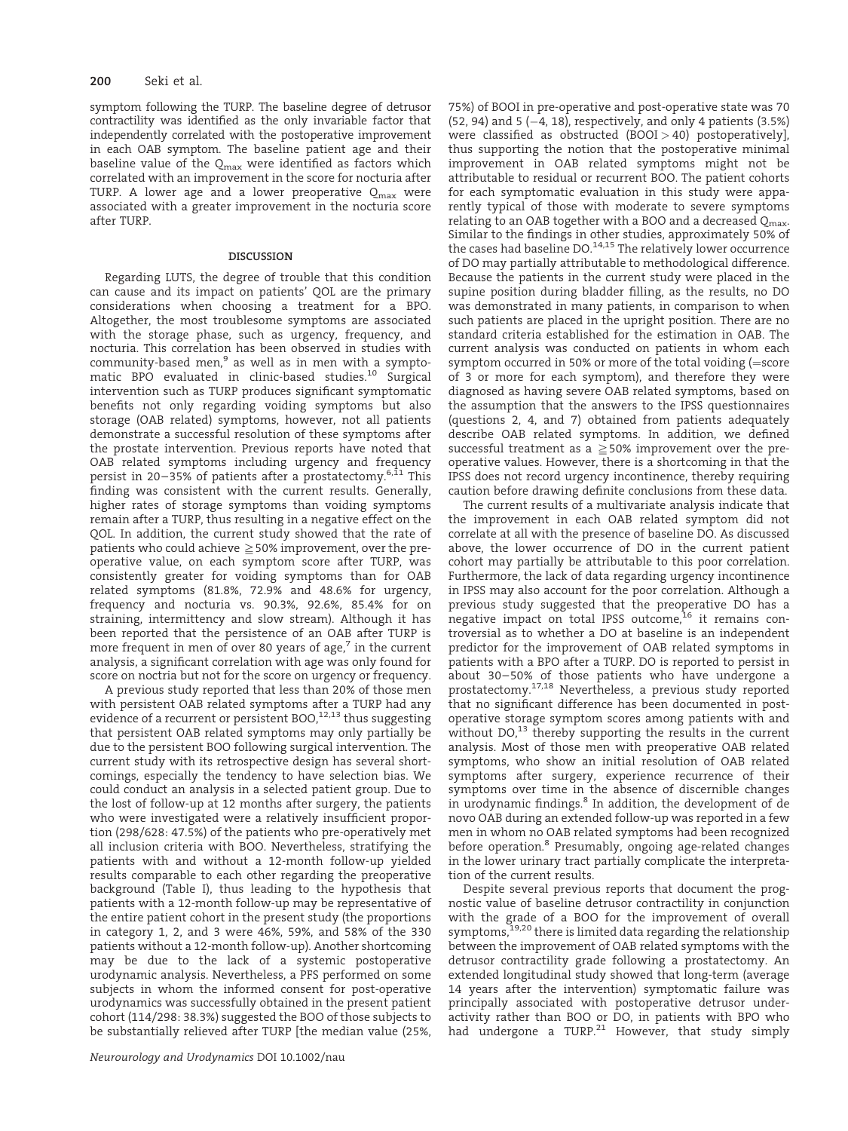symptom following the TURP. The baseline degree of detrusor contractility was identified as the only invariable factor that independently correlated with the postoperative improvement in each OAB symptom. The baseline patient age and their baseline value of the  $Q_{\text{max}}$  were identified as factors which correlated with an improvement in the score for nocturia after TURP. A lower age and a lower preoperative  $Q_{\text{max}}$  were associated with a greater improvement in the nocturia score after TURP.

### DISCUSSION

Regarding LUTS, the degree of trouble that this condition can cause and its impact on patients' QOL are the primary considerations when choosing a treatment for a BPO. Altogether, the most troublesome symptoms are associated with the storage phase, such as urgency, frequency, and nocturia. This correlation has been observed in studies with community-based men,<sup>9</sup> as well as in men with a symptomatic BPO evaluated in clinic-based studies.<sup>10</sup> Surgical intervention such as TURP produces significant symptomatic benefits not only regarding voiding symptoms but also storage (OAB related) symptoms, however, not all patients demonstrate a successful resolution of these symptoms after the prostate intervention. Previous reports have noted that OAB related symptoms including urgency and frequency persist in 20-35% of patients after a prostatectomy.<sup>6,11</sup> This finding was consistent with the current results. Generally, higher rates of storage symptoms than voiding symptoms remain after a TURP, thus resulting in a negative effect on the QOL. In addition, the current study showed that the rate of patients who could achieve  $\geq$  50% improvement, over the preoperative value, on each symptom score after TURP, was consistently greater for voiding symptoms than for OAB related symptoms (81.8%, 72.9% and 48.6% for urgency, frequency and nocturia vs. 90.3%, 92.6%, 85.4% for on straining, intermittency and slow stream). Although it has been reported that the persistence of an OAB after TURP is more frequent in men of over 80 years of age, $<sup>7</sup>$  in the current</sup> analysis, a significant correlation with age was only found for score on noctria but not for the score on urgency or frequency.

A previous study reported that less than 20% of those men with persistent OAB related symptoms after a TURP had any evidence of a recurrent or persistent BOO,<sup>12,13</sup> thus suggesting that persistent OAB related symptoms may only partially be due to the persistent BOO following surgical intervention. The current study with its retrospective design has several shortcomings, especially the tendency to have selection bias. We could conduct an analysis in a selected patient group. Due to the lost of follow-up at 12 months after surgery, the patients who were investigated were a relatively insufficient proportion (298/628: 47.5%) of the patients who pre-operatively met all inclusion criteria with BOO. Nevertheless, stratifying the patients with and without a 12-month follow-up yielded results comparable to each other regarding the preoperative background (Table I), thus leading to the hypothesis that patients with a 12-month follow-up may be representative of the entire patient cohort in the present study (the proportions in category 1, 2, and 3 were 46%, 59%, and 58% of the 330 patients without a 12-month follow-up). Another shortcoming may be due to the lack of a systemic postoperative urodynamic analysis. Nevertheless, a PFS performed on some subjects in whom the informed consent for post-operative urodynamics was successfully obtained in the present patient cohort (114/298: 38.3%) suggested the BOO of those subjects to be substantially relieved after TURP [the median value (25%, 75%) of BOOI in pre-operative and post-operative state was 70  $(52, 94)$  and 5  $(-4, 18)$ , respectively, and only 4 patients  $(3.5%)$ were classified as obstructed  $(BOOI > 40)$  postoperatively], thus supporting the notion that the postoperative minimal improvement in OAB related symptoms might not be attributable to residual or recurrent BOO. The patient cohorts for each symptomatic evaluation in this study were apparently typical of those with moderate to severe symptoms relating to an OAB together with a BOO and a decreased  $Q_{\text{max}}$ . Similar to the findings in other studies, approximately 50% of<br>the cases had baseline DO.<sup>14,15</sup> The relatively lower occurrence of DO may partially attributable to methodological difference. Because the patients in the current study were placed in the supine position during bladder filling, as the results, no DO was demonstrated in many patients, in comparison to when such patients are placed in the upright position. There are no standard criteria established for the estimation in OAB. The current analysis was conducted on patients in whom each symptom occurred in 50% or more of the total voiding  $(=$ score of 3 or more for each symptom), and therefore they were diagnosed as having severe OAB related symptoms, based on the assumption that the answers to the IPSS questionnaires (questions 2, 4, and 7) obtained from patients adequately describe OAB related symptoms. In addition, we defined successful treatment as a  $\geq$  50% improvement over the preoperative values. However, there is a shortcoming in that the IPSS does not record urgency incontinence, thereby requiring caution before drawing definite conclusions from these data.

The current results of a multivariate analysis indicate that the improvement in each OAB related symptom did not correlate at all with the presence of baseline DO. As discussed above, the lower occurrence of DO in the current patient cohort may partially be attributable to this poor correlation. Furthermore, the lack of data regarding urgency incontinence in IPSS may also account for the poor correlation. Although a previous study suggested that the preoperative DO has a negative impact on total IPSS outcome,<sup>16</sup> it remains controversial as to whether a DO at baseline is an independent predictor for the improvement of OAB related symptoms in patients with a BPO after a TURP. DO is reported to persist in about 30–50% of those patients who have undergone a prostatectomy.17,18 Nevertheless, a previous study reported that no significant difference has been documented in postoperative storage symptom scores among patients with and without  $DO<sup>13</sup>$  thereby supporting the results in the current analysis. Most of those men with preoperative OAB related symptoms, who show an initial resolution of OAB related symptoms after surgery, experience recurrence of their symptoms over time in the absence of discernible changes in urodynamic findings.<sup>8</sup> In addition, the development of de novo OAB during an extended follow-up was reported in a few men in whom no OAB related symptoms had been recognized before operation.<sup>8</sup> Presumably, ongoing age-related changes in the lower urinary tract partially complicate the interpretation of the current results.

Despite several previous reports that document the prognostic value of baseline detrusor contractility in conjunction with the grade of a BOO for the improvement of overall symptoms,<sup>19,20</sup> there is limited data regarding the relationship between the improvement of OAB related symptoms with the detrusor contractility grade following a prostatectomy. An extended longitudinal study showed that long-term (average 14 years after the intervention) symptomatic failure was principally associated with postoperative detrusor underactivity rather than BOO or DO, in patients with BPO who had undergone a TURP.<sup>21</sup> However, that study simply